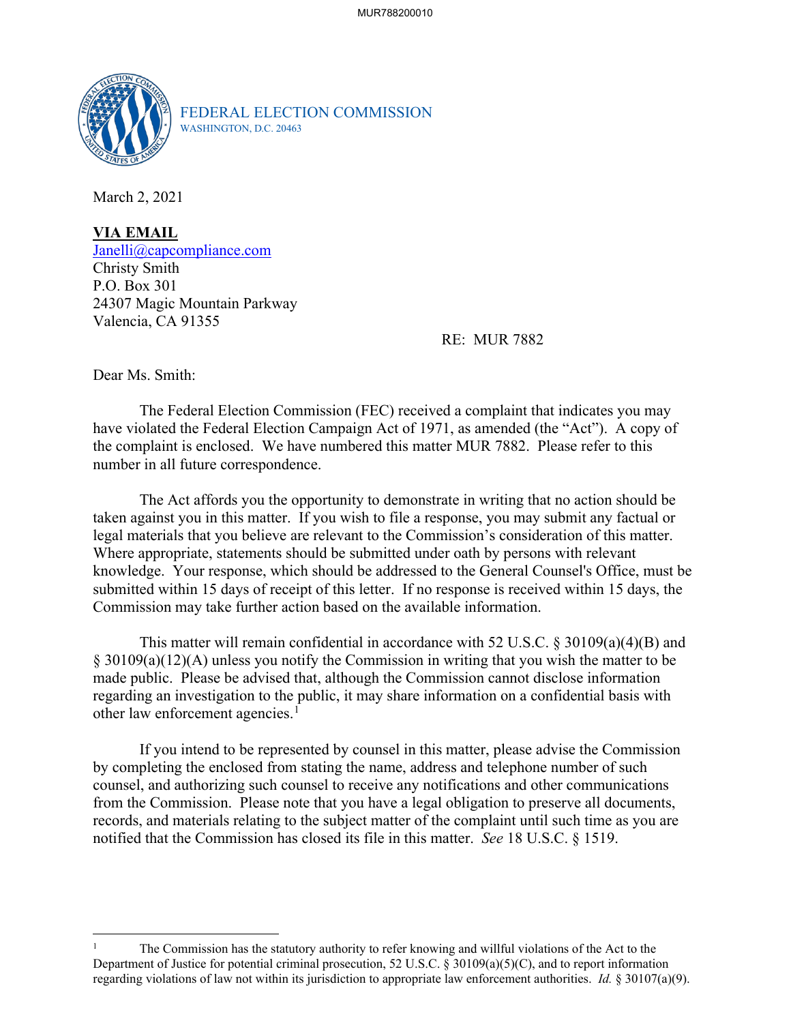

FEDERAL ELECTION COMMISSION WASHINGTON, D.C. 20463

March 2, 2021

**VIA EMAIL**  [Janelli@capcompliance.com](mailto:Janelli@capcompliance.com) Christy Smith P.O. Box 301 24307 Magic Mountain Parkway Valencia, CA 91355

RE: MUR 7882

Dear Ms. Smith:

number in all future correspondence. The Federal Election Commission (FEC) received a complaint that indicates you may have violated the Federal Election Campaign Act of 1971, as amended (the "Act"). A copy of the complaint is enclosed. We have numbered this matter MUR 7882. Please refer to this

 taken against you in this matter. If you wish to file a response, you may submit any factual or legal materials that you believe are relevant to the Commission's consideration of this matter. The Act affords you the opportunity to demonstrate in writing that no action should be Where appropriate, statements should be submitted under oath by persons with relevant knowledge. Your response, which should be addressed to the General Counsel's Office, must be submitted within 15 days of receipt of this letter. If no response is received within 15 days, the Commission may take further action based on the available information.

 § 30109(a)(12)(A) unless you notify the Commission in writing that you wish the matter to be This matter will remain confidential in accordance with 52 U.S.C. § 30109(a)(4)(B) and made public. Please be advised that, although the Commission cannot disclose information regarding an investigation to the public, it may share information on a confidential basis with other law enforcement agencies.<sup>1</sup>

 If you intend to be represented by counsel in this matter, please advise the Commission from the Commission. Please note that you have a legal obligation to preserve all documents, records, and materials relating to the subject matter of the complaint until such time as you are notified that the Commission has closed its file in this matter. *See* 18 U.S.C. § 1519. by completing the enclosed from stating the name, address and telephone number of such counsel, and authorizing such counsel to receive any notifications and other communications

 Department of Justice for potential criminal prosecution, 52 U.S.C. § 30109(a)(5)(C), and to report information regarding violations of law not within its jurisdiction to appropriate law enforcement authorities. *Id.* § 30107(a)(9). The Commission has the statutory authority to refer knowing and willful violations of the Act to the 1